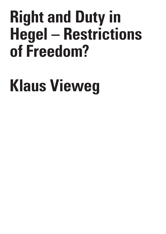# **Right and Duty in Hegel – Restrictions of Freedom?**

# **Klaus Vieweg**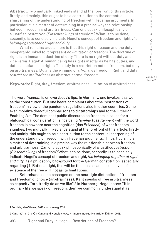**Abstract:** Two mutually linked ends stand at the forefront of this article: firstly, and mainly, this ought to be a contribution to the contentual sharpening of the understanding of freedom with Hegelian arguments.In particular, it is a matter of determining in a precise way the relationship between freedom and arbitrariness. Can one speak philosophically of a justified *restriction* (*Einschränkung*) of freedom? What is to be done, secondly, is to concisely indicate Hegel's concept of freedom and right, *the belonging together of right and duty.*

What remains crucial here is that this right of reason and the duty inseparably linked to it represent *no limitation of freedom*. The doctrine of right is an immanent doctrine of duty. There is no right without duty and vice versa. Hegel: A human being has rights insofar as he has duties, and duties insofar as he rights. The duty is a restriction not on freedom, but only on arbitrariness. Duty is the winning of *affirmative* freedom. Right and duty *restrict the arbitrariness* as abstract, formal freedom.

**Keywords:** Right, duty, freedom, arbitrariness, limitation of arbitrariness

The word *freedom* is on everybody's lips. In Germany, one invokes it as well as the constitution. But one hears complaints about the 'restrictions of freedom' in view of the pandemic regulations also in other countries. Some even mobilize dreadful comparisons to dictatorships and to the Hitlerian Enabling Act. The dominant public discourse on freedom is cause for a philosophical consideration, since being *familiar* (das *Kennen*) with the word freedom is nowhere near the cognition (das *Erkennen*) of what freedom signifies. Two mutually linked ends stand at the forefront of this article: firstly, and mainly, this ought to be a contribution to the contentual sharpening of the understanding of freedom with Hegelian arguments. <sup>1</sup> In particular, it is a matter of determining in a precise way the relationship between freedom and arbitrariness. Can one speak philosophically of a justified *restriction* (*Einschränkung*) of freedom? What is to be done, secondly, is to concisely indicate Hegel's concept of freedom and right, *the belonging together of right and duty*, as a philosophy background for the German constitution, especially regarding §1. Rational right, this will be the thesis, can be conceived of as existence of the free will, not as its limitations.

Beforehand, some passages on the neuralgic distinction of freedom and freedom of choice (arbitrariness): Kant speaks of free arbitrariness as capacity "arbitrarily do as we like".<sup>2</sup> In Nurnberg, Hegel notes: "If in ordinary life we speak of freedom, then we commonly understand it as

Volume 8 Issue 2

C R  $\mathbf{I}$ S I S & C R I T  $\mathbf{I}$ Q U E /

<sup>1</sup> For this, also Vieweg 2012 and. Vieweg 2020.

<sup>2</sup> Kant 1907, p. 213. On Kant's and Hegels views, Krijnen's instructive article: Krijnen 2018.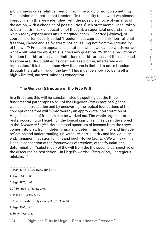arbitrariness or as relative freedom from me to do or not do something."3 The opinion dominates that freedom "is the ability to do what we please."<sup>4</sup> Freedom is in this view identified with the possible choice of variants of the action, with a choosing of possibilities. Such statements Hegel takes to be an entire lack of education of thought, a superficial understanding, which today experiences an unimagined boom. "Caprice [*Willkür*], of course, is often equally called 'freedom'; but caprice is only non-rational freedom, choice and self-determination issuing not from the rationality of the will."5 Freedom appears as a state, in which we can do whatever we want – but *what* we want, this is precisely question. 6With this reduction of freedom to arbitrariness, all 'limitations of arbitrariness, of the supposed freedom are (dis)qualified as coercion, restriction, interference or repression. "It is the common view that one is limited in one's freedom through the state, through the law."7 This must be shown to be itself a highly limited, narrow(-minded) conception.

Volume 8 Issue 2

C R I S I S & C R I T  $\mathbf{I}$ Q U E /

## **The General Structure of the Free Will**

In a first step, this will be substantiated by spelling out the three fundamental paragraphs 5 to 7 of the Hegelian *Philosophy of Right* as well as its introduction and by uncovering the logical foundations of the concept of the free will.<sup>8</sup> Only thereby an appropriate interpretation of Hegel's concept of freedom can be worked out. The whole argumentation rests, according to Hegel, "on the logical spirit" as it has been developed in the *Science of Logic.*<sup>9</sup> Here a broad spectrum of lessons from the *Logic* comes into play, from indeterminacy and determinacy, infinity and finitude, reflection and understanding, universality, particularity and individuality, end, immanent negation to limit and ought-to-be (*Sollen*). We will examine Hegel's conception of the *foundations* of freedom, of the foundational determination ('substance') of the will from the the specific perspective of the discourse on restriction – in Hegel's words: "*Restriction*, – egregious mistake."10

3 Hegel 1970a, p. 226. Translation, F.R. 4 Hegel 2008, p. 38. 5 Hegel 1975, p. 98 6 Cf. Henrich, D. (1983), p. 64. 7 Hoppe, H. (2005), p. 43. 8 Cf. on this extensively Vieweg, K. (2012), 57-96. 9 Hegel 2008, p. 4f. 10 Hegel 1996, p. 82. Right and Duty in Hegel – Restrictions of Freedom?394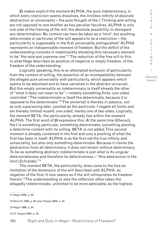§5 makes explicit the moment ALPHA, the pure indeterminacy, in which every *restriction* seems dissolves, the *limitless* infinity of absolute abstraction or universality – the pure thought of the I. Thinking and willing are not opposed to one another as two peculiar faculties. ALPHA is only *one* side of the framing of the will, the absolute possibility, to disregard any determination. No content can here be taken as a 'limit', but anything determinate or particular of the will appears to be a restriction – the particularity is supposedly in the first universality extinguished.' ALPHA represents an indispensable moment of freedom. But the deficit of the understanding consists in inadmissibly elevating this necessary element to be "the sole and supreme one."11 The reduction of the free will to this is what Hege describes as position of negative or empty freedom, of the freedom of the understanding.

Logically speaking, this is an attempted exclusion of particularity from the content of willing, the assertion of an incompatibility between the alleged pure universality with particularity, which appears which seems to be absorbed and to have vanished in the abstract universal. But this empty universality as indeterminacy is itself already the other of "what it does *not* mean to be" – notably something *finite, one-sided, restricted*: "The indeterminate is itself the determinate, because it is opposed to the determinate."12 The universal is thereby *in advance, not as only supervening later*, posited as the particular. I negate all limits and am thereby limited myself, *one-sided*, merely *one* of *two* sides. Logically, the moment BETA, the particularity, already lies within the moment ALPHA. The first word of §6 expresses this: *At the same time* (*Ebenso*), the I is something particular, something determinate, something positing a determine content with its willing. BETA is not added. This second moment is already contained in the first and only a positing of what the first has been in itself. ALPHA is as the first not the true infinity and universality, but also only something determinate. Because it claims the abstraction from all determinacy, it does not remain without determinacy. To be as something abstract, indeterminate is just what is its *singular* determinateness and therefore its defectiveness – "this abstraction is the *limit* (*Schranke*)."13

The moment BETA, the particularity, does come to the fore as limitation of the dimension of the will described with ALPHA, as negation of the first. It now seems as if the will relinquishes its freedom therein.14 The understanding or else the reflection often takes the allegedly indeterminate, unlimited to be more admirable, as the highest,

................................ 11 Hegel 2008, p. 30.

12 Henrich 1983, p. 60; also Hoppe 2005, p. 44.

13 Hegel 1996, p. 54.

14 Cf. Hoppe 2005, p. 44.

S I S & C R I T  $\mathbf{I}$ Q U E / Volume 8 Issue 2

C R  $\mathbf{I}$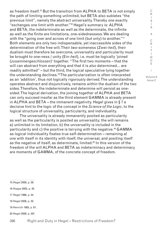as freedom itself.15 But the transition from ALPHA to BETA is not simply the path of limiting something unlimited, but BETA also sublates "the previous limit", namely the abstract universality. Thereby one exactly "exchanges one limit with another."16 Hegel's summary is: ALPHA and BETA, the indeterminate as well as the determinate, the infinite as well as the finite are limitations, one-sidednessess. We are dealing with the "going over and across of one limit (but only) to another."<sup>17</sup> Both elements are only two indispensable, yet inaccessible sides of the determination of the free will. Their *two*-someness (Zwei-*heit*), their dualism must therefore be overcome, universality and particularity must be brought to one-ness / unity (Ein-*heit*), i.e. must be logically 'joined (*zusammengeschlossen*)' together. "The first two moments – that the will can abstract from everything and that it is *also* determined… are readily admitted" – but the third, the logical speculative tying together the understanding declines.18 The particularization is often interpreted as an 'addition', thus not logically rigorously derived. The understanding operates abstract and disjunctively, remains within the dualism of the two sides. Therefore, the indeterminate and determine will persist as onesided. The logical derivation, the joining together of ALPHA and BETA can only succeed insofar as the third element GAMMA is already present in ALPHA and BETA – the immanent negativity. Hegel gives in § 7 a decisive hint to the logic of the concept in the *Science of the Logic*, to the logical structure of universality, particularity, and individuality.

The universality is already immanently posited as particularity as well as the particularity is posited as universality; the will remains a) unlimited in its limitation, b) the universality is included in the particularity and c) the positive is tarrying with the negative.19 GAMMA as logical individuality fixates true self-determination – remaining *at one* with itself in its identity with itself, the universal, and positing itself as the negative of itself, as determinate, limited.<sup>20</sup> In this version of the freedom of the will ALPHA and BETA as indeterminacy and determinacy are moments of GAMMA, of the concrete concept of freedom.

- 15 Hegel 2008, p. 29.
- 16 Hoppe 2005, p. 45.
- 17 Hegel 1996, p. 54.
- 18 Hegel 2008, p. 32.
- 19 Henrich 1983, p. 61.
- 20 Hegel 2008, p. 32f.

396 Right and Duty in Hegel – Restrictions of Freedom?

R I S I S & C R I T  $\mathbf{I}$ Q U E / Volume 8 Issue 2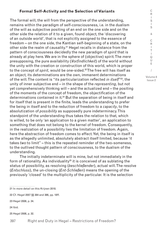### **Formal Self-Activity and the Selection of Variants**

The formal will, the will from the perspective of the understanding, remains within the paradigm of self-consciousness, i.e. in the dualism of the will as subjective positing of an end on the one side and on the other side the relation of it to a given, found object, the 'discovering of an outside world', that is not explicitly assigned to the essence of freedom – on the one side, the Kantian self-beginning of a state, on the other side the realm of causality.<sup>21</sup> Hegel recalls in distance from the pattern of consciousness decidedly the new paradigm of *spirit* that is already at play here. We are in the sphere of (objective) spirit. The *mere* presupposing, the pure availability (*Vorfindlichkeit*) of the world without the unity with the creation or construction of this world, which is proper to the concept of *spirit*, would be one-sided.22 The free will has itself as an object, its determinations are the own, immanent determinations of the will. The content is "its particularization reflected *in itself*"23, the unity of inner subjective end – in the shape of the *representing*, but not yet comprehensively thinking will – and the actualized end – the positing of the moments of the concept of freedom, the objectification of the determinations contained in it.<sup>24</sup> But the separation of being in itself and for itself that is present in the finite, leads the understanding to prefer the being in itself and to the reduction of freedom to a *capacity*, to the absolutization of *possibility* as supposedly pure indeterminacy. This standpoint of the understanding thus takes the relation to that, which is willed, to be only 'an application to a given matter', an application to something that does not belong to the kernel of freedom. Consequently, in the realization of a possibility lies the limitation of freedom. Again, here the abstraction of freedom comes to effect. Yet, the being in itself is as the allegedly unlimited, absolutely abstract itself limited, because 'it takes *two* to limit" – this is the repeated reminder of the two-someness, to the outlived thought pattern of consciousness, to the dualism of the understanding.

The initially indeterminate will is mine, but not immediately in the form of rationality. As individuality<sup>25</sup> it is conceived of as sublating the status of possibility, as resolving (*beschließender*), actual will. The resolve (*Entschluss*), the un-closing (*Ent-Schließen*) means the opening of the previously 'closed' to the multiplicity of the particular. It is the selection

24 Ibid.

```
397
Right and Duty in Hegel – Restrictions of Freedom?
```
R I S I S & C R I T  $\mathbf{I}$  $\Omega$ U E / Volume 8 Issue 2

<sup>21</sup> In more detail on this Krijnen 2018.

<sup>22</sup> Cf. Hegel 2007 §§ 384 and 386, pp. 18ff.

<sup>23</sup> Hegel 2008, p. 34.

<sup>25</sup> Hegel 2008, p. 32.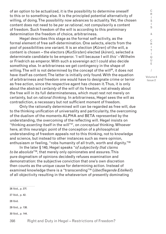of an option to be actualized, it is the possibility to determine oneself to this or to something else. It is the principled potential alternativity of willing, of doing. The possibility now advances to actuality. Yet, the chosen content does not need to be *per se rational*, not compulsorily a content of freedom. Such freedom of the will is according to this preliminary determination the freedom of choice, arbitrariness.

Hegel describes this stage as the formal self-activity, as the formal element of free self-determination. One selects, elects from the pool of possibilities one variant. It is an election (*Küren*) of the will, a content is chosen – the electors (*Kurfürsten*) elected (*küren*), selected a determinate candidate to be emperor. 'I will because I will *this'* – Wilhelm or Friedrich as emperor. With such a sovereign act I could also decide something else. In arbitrariness we get contingency in the shape of willing. The will is not determined by the concept of the will<sup>26</sup>, it does not have itself as content. The latter is initially only found. With the equation of arbitrariness and freedom one would have to designate crime or terror as free action, since the respective agent has chosen it. Thus, it is only about the abstract *certainty* of the will of its freedom, not already about the free will in its full determinateness, which must rest not merely on certainty, but on *rational thinking*. In arbitrariness, Hegel sees the will as contradiction, a necessary but not sufficient moment of freedom.

Only the rationally determined will can be regarded as free will, due to the thinking unification of universality and particularity, the overcoming of the dualism of the moments ALPHA and BETA represented by the understanding, the overcoming of the reflecting will. Hegel insists on "thinking *asserting* itself in the will"27, on *conceptual* thinking. Whoever here, at this neuralgic point of the conception of a philosophical understanding of freedom appeals not to this thinking, not to knowledge and science, but instead to other instances such as mere opinion, enthusiasm or feeling, "robs humanity of all truth, worth and dignity."<sup>28</sup>

In the later § 140, Hegel speaks "*of subjectivity that claims to be absolute*"29, that merely only opinionates and assures. This pure dogmatism of opinions decidedly refuses examination and demonstration: the subjective conviction that one's own discretion then counts as the unique cause for determining action. Instead of examined knowledge there is a "transcending"30 (*überfliegende Eitelkeit*) of all objectivity resulting in the whateverism of presently dominating

26 Ibid., p. 37f. 27 Ibid., p. 42. 28 Ibid. 29 Ibid., p. 138. 30 Ibid., p. 144.

398 Right and Duty in Hegel – Restrictions of Freedom?

S I S & C R I T  $\mathbf{I}$ Q U E / Volume 8

Issue 2

C R I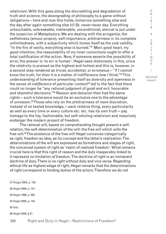relativism. With this goes along the discrediting and degradation of truth and science, the downgrading of philosophy to a game without obligations – here and now this holds, tomorrow something else and the day after again something else till St. never-never day. Everything untouchable, unbreakable, inalienable, unconditional, eternal is put under the suspicion of Metaphysics. We are dealing with the *arrogantia*, the selfishness (amour-propre), self-importance, arbitrariness in its complete unlimitedness, with a subjectivity which hones itself as the *sole* validity. "In the fire of vanity, everything else is burned."31 Mein good heart, my good intention, the reasonability of my inner convictions ought to offer a total justification of the action. Now, if someone asserts the possibility of error, the answer is 'to err is human'. Hegel sees dishonesty in this, since the relativity is praised as the highest and holiest and this is, however, in a second step rendered as trivial, accidental, or erroneous – "if I cannot know the truth, for then it is a matter of indifference *how* I think."32 This understanding of tolerance presenting itself as diversity and openness in the sense of *indifference* of particular content<sup>33</sup> led to the fact that there could no longer be "any rational judgment of good and evil, honorable and shameful decisions."34 Reason and delusion then had the same rights – such a tolerance would be an exclusive one to the advantage of unreason.<sup>35</sup> Those who rely on the arbitrariness of mere discretion, instead of on tested knowledge, – each relative thing, every particularity as well as every time or every culture etc. etc. has its own truth – pay homage to the hip, fashionable, but self-refuting relativism and massively endanger the modern project of freedom.

The rational will, based on comprehending thought present a selfrelation, the self-determination of the will: the free will which wills the free will.36 The existence of the free will Hegel conceives categorically as *right*, freedom as idea, as its concept and the latter's realization. The determinations of the will are expressed as formations and stages of right, the conceived system of right as 'realm of realized freedom'. What remains crucial here is that this right of reason and the duty inseparably linked to it represent *no limitation of freedom*. The doctrine of right is an immanent doctrine of duty. There is no right without duty and vice versa. Regarding ethical life as highest stage of right, Hegel remarks that the determinations of right correspond to binding duties of the actors. Therefore we do not

31 Hoppe 2005, p. 142.

32 Hegel 2008, p. 147.

33 Hegel 1996, p. 282.

34 Hegel 2008, p. 145.

35 Ibid.

36 Hegel 2008, § 27.

399 Right and Duty in Hegel – Restrictions of Freedom?

I S I S & C R I T  $\mathbf{I}$ Q U E / Volume 8 Issue 2

C R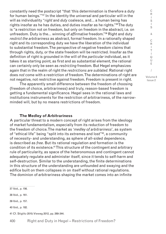constantly need the postscript "that 'this determination is therefore a duty for human beings.'"37 In the identity the universal and particular will in the will as individuality "*right* and *duty* coalesce, and… a human being has rights insofar as he has duties, and duties insofar as he rights."38 The duty is "a restriction not on freedom, but only on freedom in the abstract, i.e. on unfreedom. Duty is the… winning of *affirmative* freedom."39 Right and duty *restrict the arbitrariness* as abstract, formal freedom. In a rationally shaped right and its corresponding duty we have the liberation of the individual to substantial freedom. The perspective of negative freedom claims that through rights, duty, or the state freedom will be restricted. Insofar as the definition of right is grounded in the will of the *particular* individual, as it takes it as starting point, as first and as substantial element, the rational can certainly only be seen as *restricting* freedom. But Hegel emphasizes again that in the realm of right the *restrictions are sublated*. Rational right does *not* come with a restriction of freedom. The determinations of right are not negative, not restrictive against freedom. Freedom is present in right.

The apparently small difference between the freedom of choosing (freedom of choice, arbitrariness) and truly, reason-based freedom is getting a fundamental significance. Hegel sees in the rational laws and institutions instruments for the restriction of arbitrariness, of the narrowminded will, but by no means restrictions of freedom.

#### **The Medley of Arbitrariness**

A particular threat to a modern concept of right arises from the ideology of market fundamentalism, especially from its reduction of freedom to the freedom of choice. The market as '*medley of arbitrariness*', as system of "ethical life" being "split into its extremes and lost"40, a community of necessity- and understanding, as sphere of all-sided dependence, is described as *free*. But its rational regulation and formation is the condition of its existence.41 This structure of the contingent and arbitrary rule of particularity, as space of the heteronomous and contingent cannot adequately regulate and administer itself, since it tends to self-harm and self-destruction. Similar to the understanding, the finite determinations in this structure of the understanding are unfounded and swaying and the edifice built on them collapses in on itself without rational regulations. The dominion of arbitrariness shaping the market comes into an infinite

37 Ibid., p. 156. 38 Ibid., p. 161. 39 Ibid., p. 157. 40 Ibid., p. 182. 41 Cf. Stiglitz 2010; Vieweg 2012, pp. 269-344.

 $\mathbf{I}$ Q U E /

C R I S I S & C R I T

Volume 8 Issue 2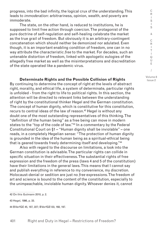progress, into the bad infinity, the logical crux of the understanding. This leads to *immoderation*: arbitrariness, opinion, wealth, and poverty are immoderate.

The state, on the other hand, is reduced to institutions, he is supposed to limit free action through coercion. The protagonist of the pure doctrine of self-regulation and self-healing celebrate the market as the true grail of freedom. But obviously it is an arbitrary-contingent concatenation which should neither be demonized nor adulated. Even though, it is an important enabling condition of freedom, one can in no way attribute the characteristic *free* to the market. For decades, such an untenable distortion of freedom, linked with apologetic eulogies of the allegedly free market as well as the misinterpretations and discreditation of the state operated like a pandemic virus.

**Determinate Rights and the Possible Collision of Rights** By continuing to determine the concept of right at the levels of abstract right, morality, and ethical life, a system of determinate, particular rights is unfolded - from the right to life to political rights. In this section, the attention will be directed to relevant links between the understanding of right by the constitutional thinker Hegel and the German constitution. The concept of human dignity, which is constitutive for this constitution, recurs to central ideas of the law of reason.<sup>42</sup> Hegel is without any doubt one of the most outstanding representatives of this thinking. The "definition of the human being" as a free being can move in modern states to the "top of the code of law."<sup>43</sup> In a commentary by the Federal Constitutional Court on §1 – "Human dignity shall be inviolable" – one reads, in a completely Hegelian sense: "The protection of human dignity is grounded in the idea of the human being as a spiritual-ethical being that is geared towards freely determining itself and developing."44

Also with regard to the discourse on limitations, a look into the German constitution is advisable. The particular rights can collide in specific situation in their effectiveness. The substantial rights of free expression and the freedom of the press (laws 4 and 5 of the constitution) have their limitations in the general laws. This means that I cannot say and publish everything in reference to my convenience, my discretion. Holocaust-denial or sedition are just no *free* expressions. The freedom of art and science is bound to the content of the constitution, especially to the unimpeachable, inviolable human dignity. Whoever denies it, cannot

42 On this Gutmann 2010, p. 2.

43 Hegel, 1996, p. 33.

44 BVerfGE 45, 187, 227; BVerfGE133, 168, 197.

R  $\mathbf{I}$ S I S & C R I T  $\mathbf{I}$ Q U E / Volume 8

Issue 2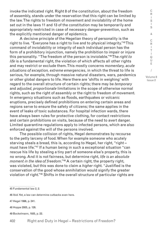invoke the indicated right. Right 8 of the constitution, about the freedom of assembly, stands under the reservation that this right can be limited by the law. The rights to freedom of movement and inviolability of the home set out in the laws 11 and 13 of the constitution may be temporarily and appropriately restricted in case of necessary danger-prevention, such as the explicitly mentioned danger of epidemics.

A decisive principle of the Hegelian theory of personality is the right to live. "Everyone has a right to live and to physical integrity."45 This command of inviolability or integrity of each individual person has the form of a prohibitory injunction, namely the prohibition to impair or injure this personality. "The freedom of the person is inviolable."46 The *right to life* is a fundamental right, the violation of which affects all other rights and may restrict or exclude them. This mostly concerns m*omentary, acute situations of exception, extreme emergencies*, in which the threat to life is serious, for example, through massive natural disasters, wars, pandemics or other global dangers to life. Here there are 'shifts in weighing' with regard to the overall structure of certain rights; there may be *temporary* and *adjusted, proportionate* limitations in the scope of otherwise normal rights, such as the right of assembly or the right to freedom of movement. In emergency situations such as floods, earthquakes or volcanic eruptions, precisely defined prohibitions on entering certain areas and regions serve to ensure the safety of citizens; the same applies in the event of leaks of toxic substances. For hospital infection wards, there have always been rules for protective clothing, for contact restrictions and certain prohibitions on visits, because of the need to avert danger. Limited quarantine regulations apply to infected persons, which are also enforced against the will of the persons involved.

The possible collision of rights, Hegel demonstrates by recourse to the petty larceny of food. When for example someone who acutely starving steals a bread, this is, according to Hegel, her right, "right – must have life."47 If a human being in such a exceptional situation "can rescue his life by stealing a tiny part of someone else's property, this is no wrong. And it is not fairness, but determine right, *life is an absolute moment in the idea of freedom*."48 A certain right, the property right, was violated, but this was done to claim a *higher* right. "Justified is the conservation of the good whose annihilation would signify the greater violation of right."49 Shifts in the overall structure of particular rights are

45 Fundamental law 2, 2.

46 Ibid. Yet, a law can determine cutbacks even here.

47 Hegel 1996, p. 241.

48 Hoppe 2005, p. 126.

49 Bockelmann, 1935, p. 22.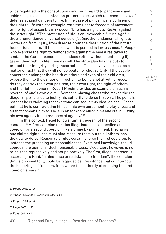to be regulated in the constitutions and, with regard to pandemics and epidemics, in a special infection protection act, which represents a law of defense against dangers to life. In the case of pandemics, a collision of the right to life with, for example, with the right to freedom of movement or the right of assembly may occur. "Life has a right [*hat Recht*] against the strict right."50 The protection of life is an irrevocable *human right* in the aforementioned universal sense of *justice*, the fundamental right to protection from injury, from disease, from the destruction of the natural foundations of life. "If life is lost, what is posited is lawlessness."51 People who exercise the right to demonstrate against the measures taken to contain the Corona pandemic do indeed (often without mentioning it) assert their right to life there as well. The state also has the duty to protect their integrity during these actions. Those involved expect as a matter of fact that they will not be beaten or shot at. Only if the people concerned endanger the health of others and even of their children, expose them to the danger of infection, to being shot at with viruses, do they destroy their own position, their own right, the right of others and the right in general. Robert Pippin provides an example of such a reversal of one's own claim: "Someone playing chess who moved the rook diagonally, and tried to justify his authority to do so that way. The point is not that he is violating that everyone can see in this ideal object, »Chess«, but that he is contradicting himself, his own agreement to play chess and all that commits him to. He is in effect »cancelling himself« out, nullifying his own agency in the pretence of agency. "<sup>52</sup>

In this context, Hegel follows Kant's theorem of the second coercion.53 A first coercion remains illegitimate, it is cancelled as coercion by a second coercion, like a crime by punishment. Insofar as one claims rights, one must also measure them out to all others, has the duty to do so. Reasonable rules certainly force the first coercion, for instance the preceding unreasonableness. Examined knowledge should coerce mere opinions. Such reasonable, *second* coercion, however, is not to be seen repressively and not pejoratively. The first, illegal coercion is, according to Kant, "a hindrance or resistance to freedom", the coercion that is opposed to it, could be regarded as "resistance that counteracts the hindering" of freedom, from where the authority of coercing the first coercion arises.54

50 Hoppe 2005, p. 126.

51 Angehrn, Bondeli, Seelmann 2000, p. 61.

52 Pippin, 2008, p. 74.

53 Hegel 2008, p. 98f.

54 Kant 1991, p. 57.

403 Right and Duty in Hegel – Restrictions of Freedom?

I S I S & C R I T I Q U E / Volume 8 Issue 2

C R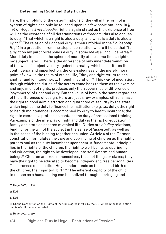#### **Determining Right and Duty Further**

Here, the unfolding of the determinations of the will in the form of a system of rights can only be touched upon in a few basic outlines. In § 486 of Hegel's *Encyclopedia*, right is again stated as the existence of free will, as the existence of all determinations of freedom; this also applies to duty. "That which is a right is also a duty, and what is a duty is also a right."55 The relation of right and duty is then unfolded in the *Philosophy Right* in a gradation, from the step of correlation where it holds that "to a right on my part corresponds a duty in *someone else*" and vice versa.56 Moral duty in me is in the sphere of morality at the same time a right of my subjective will. There is the difference of only inner determination of the will, of subjective duty against its reality, which constitutes the contingency and imperfection, the one-sidedness of the merely moral point of view. In the realm of ethical life, "duty and right return to one another and join together, ... through mediation."<sup>57</sup>This way of mediation, through which the duties of the actors come back to them as the exercise and enjoyment of rights, produces only the appearance of difference or 'asymmetry' of right and duty. But the value of both is the same regardless of the differences of design. Here are just a few examples: citizens have the right to good administration and guarantee of security by the state, which implies the duty to finance the institutions (e.g. tax duty); the right to health maintenance is accompanied by duty to health insurance; the right to exercise a profession contains the duty of professional training. An example of the interplay of right and duty is the fact of education in family and state as spheres of ethical life. Duties are *binding* relations, binding for the will of the subject in the sense of 'asserted', as well as in the sense of the binding together, the union. Article 6 of the German constitution formulates the care and upbringing of children as the right of parents and as the duty incumbent upon them. A fundamental principle lies in the rights of the children, the right to well-being, to upbringing and education, the right to be developed into self-determined human beings.<sup>58</sup> Children are free in themselves, thus not things or slaves; they have the right to be educated to become independent, free personalities. This process of education Hegel understands as the 'second birth of the children, their spiritual birth."<sup>59</sup> The inherent capacity of the child to reason as a human being can be realized through upbringing and

55 Hegel 2007, p. 218

56 Ebd.

57 Ebd.

58 Cf. the Convention on the Rights of the Child, agree in 1989 by the UN, wherein the legal entitlements of children are recorded.

59 Hegel 2007, p. 230

404 Right and Duty in Hegel – Restrictions of Freedom?

C R I S I S & C R I T I  $\Omega$ U E / Volume 8 Issue 2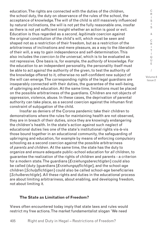education. The rights are connected with the duties of the children, the school duty, the duty on observance of the rules of the school, the acceptance of knowledge. The will of the child is still massively influenced by natural inclinations, the will is not yet the fully reasonable one, insofar as there is not yet sufficient insight whether an action is good or evil. Education is thus regarded as a *second, legitimate* coercion against the original constitution of the child's will, which must be seen and shaped not as a restriction of their freedom, but as a restriction of the arbitrariness of inclinations and mere pleasure, as a way to the *liberation* of their will, a way to gain independence and self-determination. This also includes the *coercion to the universal*, which is to be evaluated as not repressive. One basis is, for example, the *authority* of knowledge. For the education to an independent personality, the personality itself must be able to act *against* the authority of the given, to test the authority of the knowledge offered to it, otherwise no self-confident new subject of the will can emerge. The corresponding rights of the legal guardians are inseparably connected with their duties, the guarantee of the well-being, of upbringing and education. At the same time, limitations must be placed on the possible arbitrariness of the guardians. Children are not objects of oppression, violence, abuse. In these cases, the deprivation of parental authority can take place, as a second coercion against the inhuman first constraint of subjugation of the child.

Insofar as deniers of the Corona pandemic take their children to demonstrations where the rules for maintaining health are not observed, they are in breach of their duties, since they are knowingly endangering the children's health. In the state's action against such neglect of educational duties lies one of the state's institutional rights vis-à-vis those bound together in an educational community, the safeguarding of upbringing and education, for example by means of enforcing compulsory schooling as a second coercion against the possible arbitrariness of *parents and children*. At the same time, the state has the duty to organize and ensure adequate public-school education for *all* children, to guarantee the realization of the rights of children and parents - a criterion for a modern state. The guardians [*Erziehungsberechtigten*] could also be called (duty-)guardians [*Erziehungspflichtige*], and the school-age children [*Schulpflichtigen*] could also be called school-age beneficiaries [*Schulberechtigte*]. All these rights and duties in the educational process are about limiting arbitrariness, about enabling, and developing freedom, not about limiting it.

#### **The State as Limitation of Freedom?**

Views often encountered today imply that state laws and rules would restrict my free actions. The market fundamentalist slogan 'We need

S & C R I T I Q U E / Volume 8

C R  $\mathbf{I}$ S I

Issue 2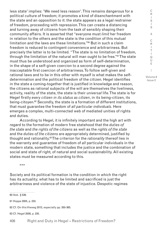less state' implies: 'We need less reason'. This remains dangerous for a political culture of freedom; it promotes a kind of disenchantment with the state and an opposition to it: the state appears as a legal restrainer of freedom, proceeding with repression. This can create a distancing and turning away of citizens from the task of sensibly shaping their community affairs. It is asserted that "everyone must *limit* her freedom in relation to the others and the state is the condition of this mutual limitation and the laws are these limitations."60 But in such a claim freedom is reduced to contingent convenience and arbitrariness. But precisely the latter is to be limited. "The state is no limitation of freedom, through the limitation of the natural will man ought to be free."61 The state must thus be understood and organized as form of self-determination, in the shape of a self-given coercion to a second degree against the inacceptable first coercion of arbitrariness. To follow self-given and rational laws and to be in this other with myself is what makes the selfdetermination and the political freedom of the citizen. Hegel identifies in the state a coming-together that is justified in knowledge and reason, the citizens as rational subjects of the will are themselves the liveliness, activity, reality of the state, the state is their *universal* life. The state is for Hegel firstly *every citizen in its status as citizen*, in its being-citizen, its being-citoyen.<sup>62</sup> Secondly, the state is a formation of different institutions, that must guarantee the freedom of *all particular individuals*. Here emerges a complex, multi-connected web of mediated unities of rights and duties.

According to Hegel, it is infinitely important and the high art with regard to the formation of modern free statehood that the *duties of the state* and *the rights of the citizens* as well as the *rights of the state* and the *duties of the citizens* are appropriately determined, justified by thought and rationality.63 The criterion for the *rationality* thereof lies in the warranty and guarantee of freedom of *all* particular individuals in the modern state, something that includes the justice and the combination of social and state of right, of natural and social sustainability. All existing states must be measured according to this.

\*\*\*

60 Ibid.. § 539.

................................

Society and its political formation is the condition in which the right has its actuality; what has to be limited and sacrificed is just the arbitrariness and violence of the state of injustice. Despotic regimes

61 Hoppe 2005, p. 233. 62 Cf. On this Vieweg 2012, especially pp. 350-365. 63 Cf. Hegel 2008, p. 235.

R  $\mathbf{I}$ S I S & C R I T  $\mathbf{I}$ Q U E / Volume 8 Issue 2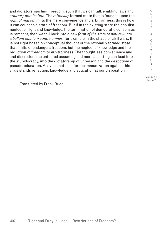and dictatorships limit freedom, such that we can talk enabling laws and *arbitrary domination*. The *rationally* formed state that is founded upon the *right of reason* limits the mere convenience and arbitrariness, this is how it can count as a state of freedom. But if in the existing state the populist neglect of right and knowledge, the termination of democratic consensus is rampant, then we fall back into a *new form of the state of nature* – into a *bellum omnium contra omnes*, for example in the shape of civil wars. It is not right based on conceptual thought or the rationally formed state that limits or endangers freedom, but the neglect of knowledge and the reduction of freedom to arbitrariness. The thoughtless convenience and and discretion, the untested assuming and mere asserting can lead into the stupidocracy, into the dictatorship of unreason and the despotism of pseudo-education. As 'vaccinations' for the immunization against this virus stands reflection, knowledge and education at our disposition.

Volume 8 Issue 2

C R  $\mathbf{I}$ S  $\mathbf{I}$ S & C R I T  $\mathbf{I}$ Q U E /

Translated by Frank Ruda